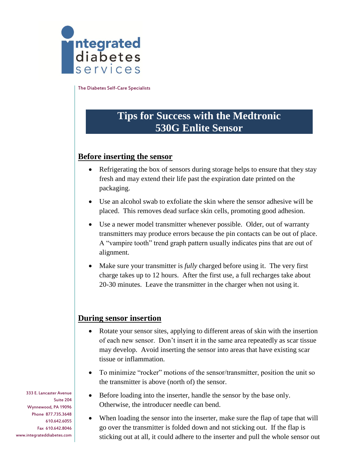

The Diabetes Self-Care Specialists

## **Tips for Success with the Medtronic 530G Enlite Sensor**

## **Before inserting the sensor**

- Refrigerating the box of sensors during storage helps to ensure that they stay fresh and may extend their life past the expiration date printed on the packaging.
- Use an alcohol swab to exfoliate the skin where the sensor adhesive will be placed. This removes dead surface skin cells, promoting good adhesion.
- Use a newer model transmitter whenever possible. Older, out of warranty transmitters may produce errors because the pin contacts can be out of place. A "vampire tooth" trend graph pattern usually indicates pins that are out of alignment.
- Make sure your transmitter is *fully* charged before using it. The very first charge takes up to 12 hours. After the first use, a full recharges take about 20-30 minutes. Leave the transmitter in the charger when not using it.

## **During sensor insertion**

- Rotate your sensor sites, applying to different areas of skin with the insertion of each new sensor. Don't insert it in the same area repeatedly as scar tissue may develop. Avoid inserting the sensor into areas that have existing scar tissue or inflammation.
- To minimize "rocker" motions of the sensor/transmitter, position the unit so the transmitter is above (north of) the sensor.
- Before loading into the inserter, handle the sensor by the base only. Otherwise, the introducer needle can bend.
- When loading the sensor into the inserter, make sure the flap of tape that will go over the transmitter is folded down and not sticking out. If the flap is sticking out at all, it could adhere to the inserter and pull the whole sensor out

333 E. Lancaster Avenue Suite 204 Wynnewood, PA 19096 Phone 877.735.3648 610.642.6055 Fax 610.642.8046 www.integrateddiabetes.com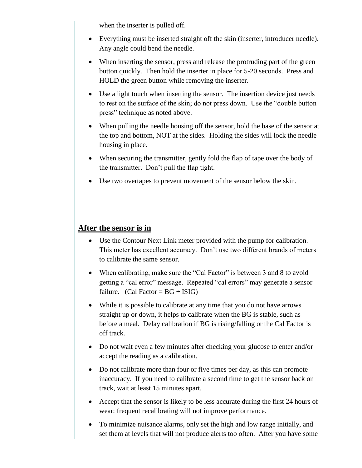when the inserter is pulled off.

- Everything must be inserted straight off the skin (inserter, introducer needle). Any angle could bend the needle.
- When inserting the sensor, press and release the protruding part of the green button quickly. Then hold the inserter in place for 5-20 seconds. Press and HOLD the green button while removing the inserter.
- Use a light touch when inserting the sensor. The insertion device just needs to rest on the surface of the skin; do not press down. Use the "double button press" technique as noted above.
- When pulling the needle housing off the sensor, hold the base of the sensor at the top and bottom, NOT at the sides. Holding the sides will lock the needle housing in place.
- When securing the transmitter, gently fold the flap of tape over the body of the transmitter. Don't pull the flap tight.
- Use two overtapes to prevent movement of the sensor below the skin.

## **After the sensor is in**

- Use the Contour Next Link meter provided with the pump for calibration. This meter has excellent accuracy. Don't use two different brands of meters to calibrate the same sensor.
- When calibrating, make sure the "Cal Factor" is between 3 and 8 to avoid getting a "cal error" message. Repeated "cal errors" may generate a sensor failure. (Cal Factor =  $BG \div ISIG$ )
- While it is possible to calibrate at any time that you do not have arrows straight up or down, it helps to calibrate when the BG is stable, such as before a meal. Delay calibration if BG is rising/falling or the Cal Factor is off track.
- Do not wait even a few minutes after checking your glucose to enter and/or accept the reading as a calibration.
- Do not calibrate more than four or five times per day, as this can promote inaccuracy. If you need to calibrate a second time to get the sensor back on track, wait at least 15 minutes apart.
- Accept that the sensor is likely to be less accurate during the first 24 hours of wear; frequent recalibrating will not improve performance.
- To minimize nuisance alarms, only set the high and low range initially, and set them at levels that will not produce alerts too often. After you have some